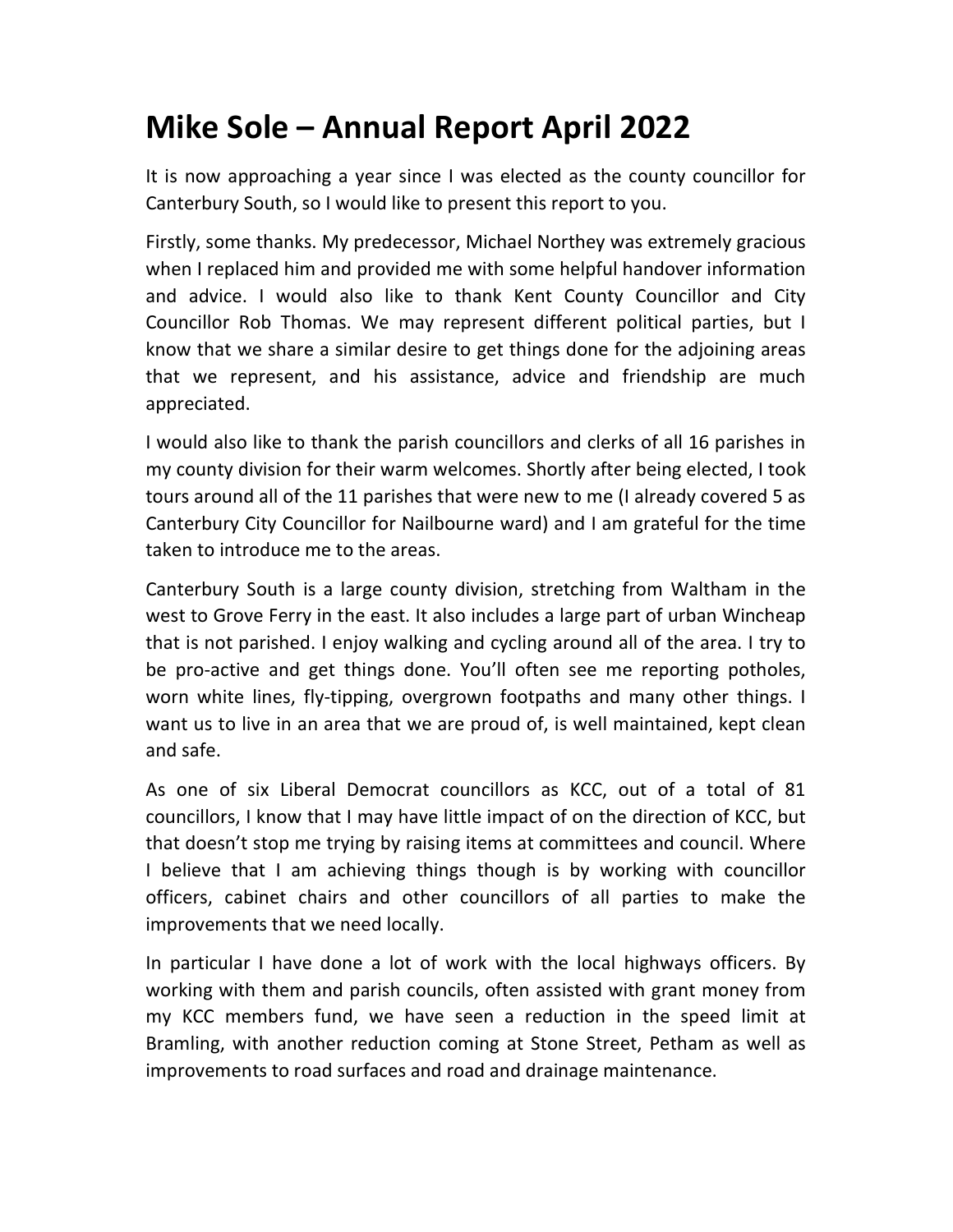## **Mike Sole – Annual Report April 2022**

It is now approaching a year since I was elected as the county councillor for Canterbury South, so I would like to present this report to you.

Firstly, some thanks. My predecessor, Michael Northey was extremely gracious when I replaced him and provided me with some helpful handover information and advice. I would also like to thank Kent County Councillor and City Councillor Rob Thomas. We may represent different political parties, but I know that we share a similar desire to get things done for the adjoining areas that we represent, and his assistance, advice and friendship are much appreciated.

I would also like to thank the parish councillors and clerks of all 16 parishes in my county division for their warm welcomes. Shortly after being elected, I took tours around all of the 11 parishes that were new to me (I already covered 5 as Canterbury City Councillor for Nailbourne ward) and I am grateful for the time taken to introduce me to the areas.

Canterbury South is a large county division, stretching from Waltham in the west to Grove Ferry in the east. It also includes a large part of urban Wincheap that is not parished. I enjoy walking and cycling around all of the area. I try to be pro-active and get things done. You'll often see me reporting potholes, worn white lines, fly-tipping, overgrown footpaths and many other things. I want us to live in an area that we are proud of, is well maintained, kept clean and safe.

As one of six Liberal Democrat councillors as KCC, out of a total of 81 councillors, I know that I may have little impact of on the direction of KCC, but that doesn't stop me trying by raising items at committees and council. Where I believe that I am achieving things though is by working with councillor officers, cabinet chairs and other councillors of all parties to make the improvements that we need locally.

In particular I have done a lot of work with the local highways officers. By working with them and parish councils, often assisted with grant money from my KCC members fund, we have seen a reduction in the speed limit at Bramling, with another reduction coming at Stone Street, Petham as well as improvements to road surfaces and road and drainage maintenance.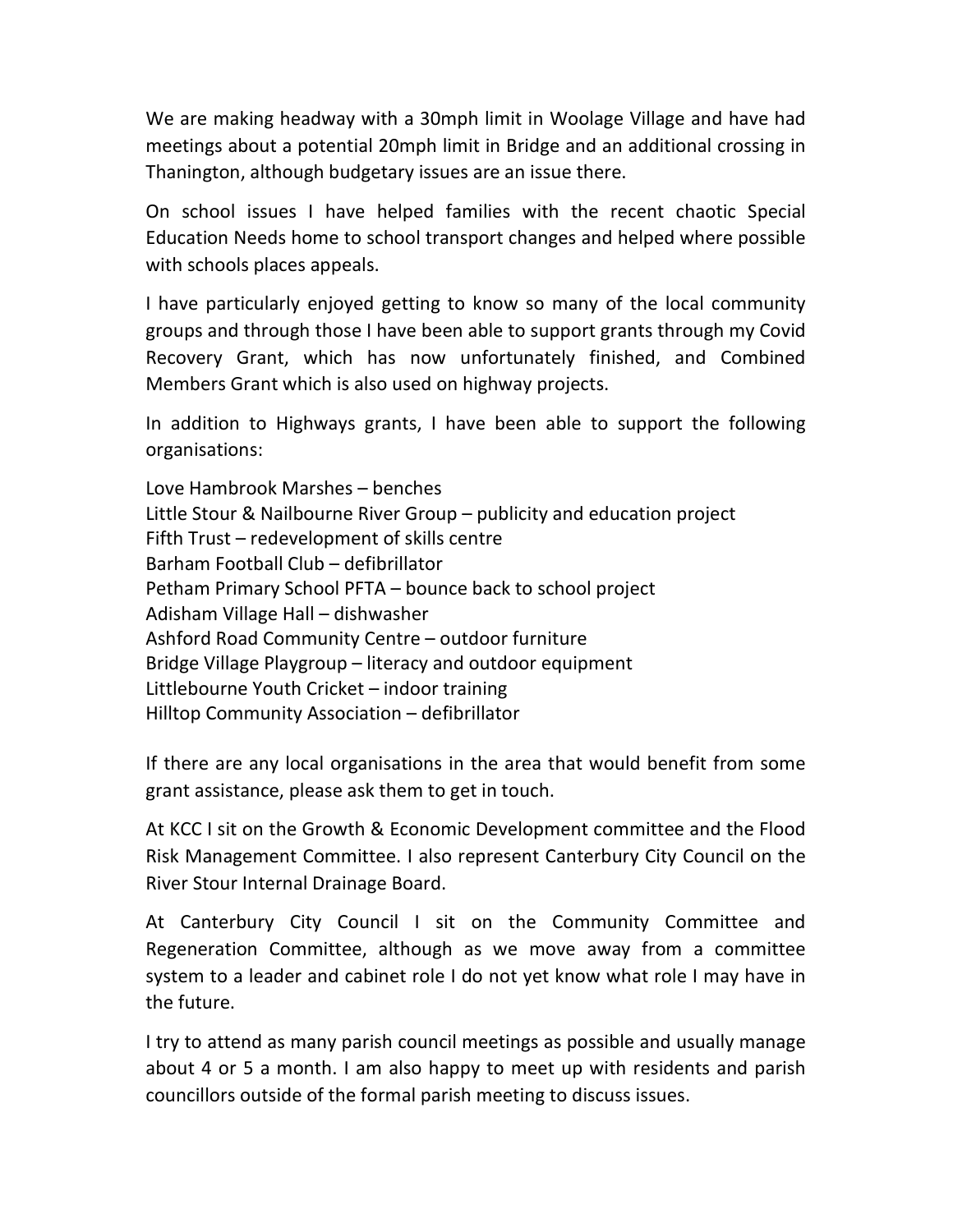We are making headway with a 30mph limit in Woolage Village and have had meetings about a potential 20mph limit in Bridge and an additional crossing in Thanington, although budgetary issues are an issue there.

On school issues I have helped families with the recent chaotic Special Education Needs home to school transport changes and helped where possible with schools places appeals.

I have particularly enjoyed getting to know so many of the local community groups and through those I have been able to support grants through my Covid Recovery Grant, which has now unfortunately finished, and Combined Members Grant which is also used on highway projects.

In addition to Highways grants, I have been able to support the following organisations:

Love Hambrook Marshes – benches Little Stour & Nailbourne River Group – publicity and education project Fifth Trust – redevelopment of skills centre Barham Football Club – defibrillator Petham Primary School PFTA – bounce back to school project Adisham Village Hall – dishwasher Ashford Road Community Centre – outdoor furniture Bridge Village Playgroup – literacy and outdoor equipment Littlebourne Youth Cricket – indoor training Hilltop Community Association – defibrillator

If there are any local organisations in the area that would benefit from some grant assistance, please ask them to get in touch.

At KCC I sit on the Growth & Economic Development committee and the Flood Risk Management Committee. I also represent Canterbury City Council on the River Stour Internal Drainage Board.

At Canterbury City Council I sit on the Community Committee and Regeneration Committee, although as we move away from a committee system to a leader and cabinet role I do not yet know what role I may have in the future.

I try to attend as many parish council meetings as possible and usually manage about 4 or 5 a month. I am also happy to meet up with residents and parish councillors outside of the formal parish meeting to discuss issues.